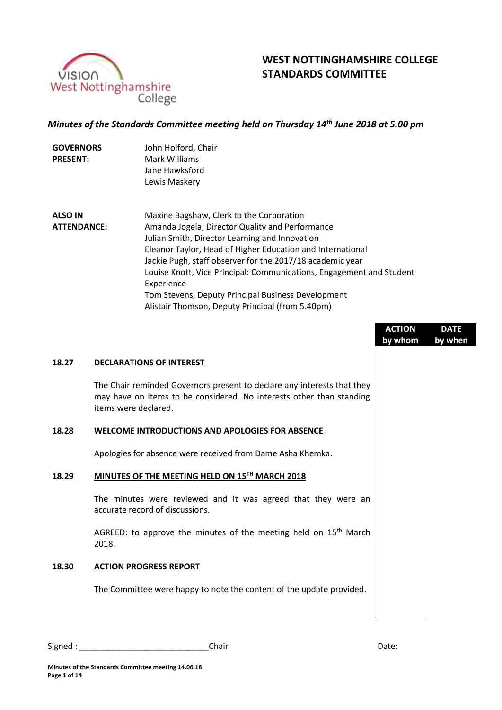

# **WEST NOTTINGHAMSHIRE COLLEGE STANDARDS COMMITTEE**

# *Minutes of the Standards Committee meeting held on Thursday 14 th June 2018 at 5.00 pm*

| <b>GOVERNORS</b> | John Holford, Chair |
|------------------|---------------------|
| <b>PRESENT:</b>  | Mark Williams       |
|                  | Jane Hawksford      |
|                  | Lewis Maskery       |

**ALSO IN ATTENDANCE:** Maxine Bagshaw, Clerk to the Corporation Amanda Jogela, Director Quality and Performance Julian Smith, Director Learning and Innovation Eleanor Taylor, Head of Higher Education and International Jackie Pugh, staff observer for the 2017/18 academic year Louise Knott, Vice Principal: Communications, Engagement and Student Experience Tom Stevens, Deputy Principal Business Development Alistair Thomson, Deputy Principal (from 5.40pm)

|       |                                                                                                                                                                         | <b>ACTION</b><br>by whom | <b>DATE</b><br>by when |
|-------|-------------------------------------------------------------------------------------------------------------------------------------------------------------------------|--------------------------|------------------------|
| 18.27 | <b>DECLARATIONS OF INTEREST</b>                                                                                                                                         |                          |                        |
|       | The Chair reminded Governors present to declare any interests that they<br>may have on items to be considered. No interests other than standing<br>items were declared. |                          |                        |
| 18.28 | <b>WELCOME INTRODUCTIONS AND APOLOGIES FOR ABSENCE</b>                                                                                                                  |                          |                        |
|       | Apologies for absence were received from Dame Asha Khemka.                                                                                                              |                          |                        |
| 18.29 | MINUTES OF THE MEETING HELD ON 15TH MARCH 2018                                                                                                                          |                          |                        |
|       | The minutes were reviewed and it was agreed that they were an<br>accurate record of discussions.                                                                        |                          |                        |
|       | AGREED: to approve the minutes of the meeting held on $15th$ March<br>2018.                                                                                             |                          |                        |
| 18.30 | <b>ACTION PROGRESS REPORT</b>                                                                                                                                           |                          |                        |
|       | The Committee were happy to note the content of the update provided.                                                                                                    |                          |                        |
|       |                                                                                                                                                                         |                          |                        |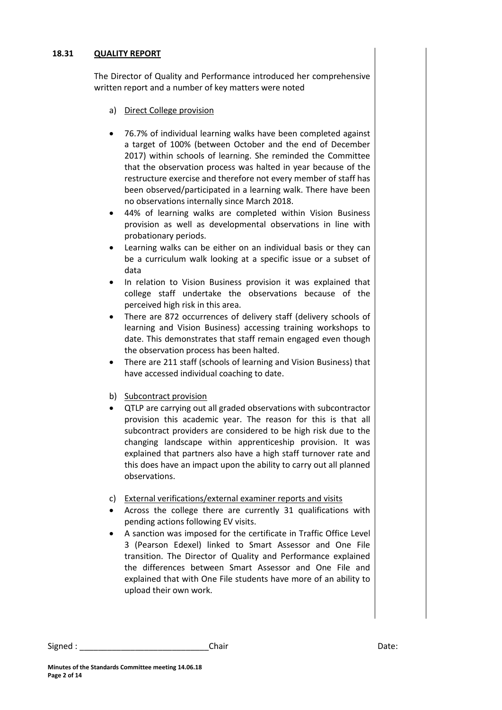# **18.31 QUALITY REPORT**

The Director of Quality and Performance introduced her comprehensive written report and a number of key matters were noted

- a) Direct College provision
- 76.7% of individual learning walks have been completed against a target of 100% (between October and the end of December 2017) within schools of learning. She reminded the Committee that the observation process was halted in year because of the restructure exercise and therefore not every member of staff has been observed/participated in a learning walk. There have been no observations internally since March 2018.
- 44% of learning walks are completed within Vision Business provision as well as developmental observations in line with probationary periods.
- Learning walks can be either on an individual basis or they can be a curriculum walk looking at a specific issue or a subset of data
- In relation to Vision Business provision it was explained that college staff undertake the observations because of the perceived high risk in this area.
- There are 872 occurrences of delivery staff (delivery schools of learning and Vision Business) accessing training workshops to date. This demonstrates that staff remain engaged even though the observation process has been halted.
- There are 211 staff (schools of learning and Vision Business) that have accessed individual coaching to date.
- b) Subcontract provision
- QTLP are carrying out all graded observations with subcontractor provision this academic year. The reason for this is that all subcontract providers are considered to be high risk due to the changing landscape within apprenticeship provision. It was explained that partners also have a high staff turnover rate and this does have an impact upon the ability to carry out all planned observations.
- c) External verifications/external examiner reports and visits
- Across the college there are currently 31 qualifications with pending actions following EV visits.
- A sanction was imposed for the certificate in Traffic Office Level 3 (Pearson Edexel) linked to Smart Assessor and One File transition. The Director of Quality and Performance explained the differences between Smart Assessor and One File and explained that with One File students have more of an ability to upload their own work.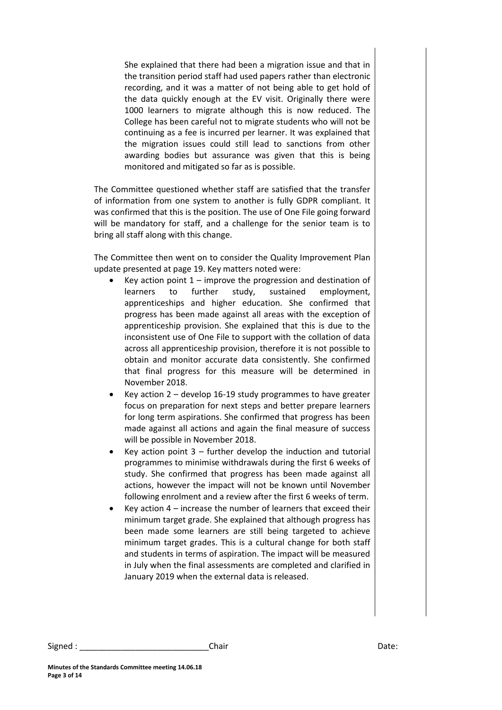She explained that there had been a migration issue and that in the transition period staff had used papers rather than electronic recording, and it was a matter of not being able to get hold of the data quickly enough at the EV visit. Originally there were 1000 learners to migrate although this is now reduced. The College has been careful not to migrate students who will not be continuing as a fee is incurred per learner. It was explained that the migration issues could still lead to sanctions from other awarding bodies but assurance was given that this is being monitored and mitigated so far as is possible.

The Committee questioned whether staff are satisfied that the transfer of information from one system to another is fully GDPR compliant. It was confirmed that this is the position. The use of One File going forward will be mandatory for staff, and a challenge for the senior team is to bring all staff along with this change.

The Committee then went on to consider the Quality Improvement Plan update presented at page 19. Key matters noted were:

- Key action point  $1$  improve the progression and destination of learners to further study, sustained employment, apprenticeships and higher education. She confirmed that progress has been made against all areas with the exception of apprenticeship provision. She explained that this is due to the inconsistent use of One File to support with the collation of data across all apprenticeship provision, therefore it is not possible to obtain and monitor accurate data consistently. She confirmed that final progress for this measure will be determined in November 2018.
- Key action 2 develop 16-19 study programmes to have greater focus on preparation for next steps and better prepare learners for long term aspirations. She confirmed that progress has been made against all actions and again the final measure of success will be possible in November 2018.
- Key action point  $3$  further develop the induction and tutorial programmes to minimise withdrawals during the first 6 weeks of study. She confirmed that progress has been made against all actions, however the impact will not be known until November following enrolment and a review after the first 6 weeks of term.
- Key action 4 increase the number of learners that exceed their minimum target grade. She explained that although progress has been made some learners are still being targeted to achieve minimum target grades. This is a cultural change for both staff and students in terms of aspiration. The impact will be measured in July when the final assessments are completed and clarified in January 2019 when the external data is released.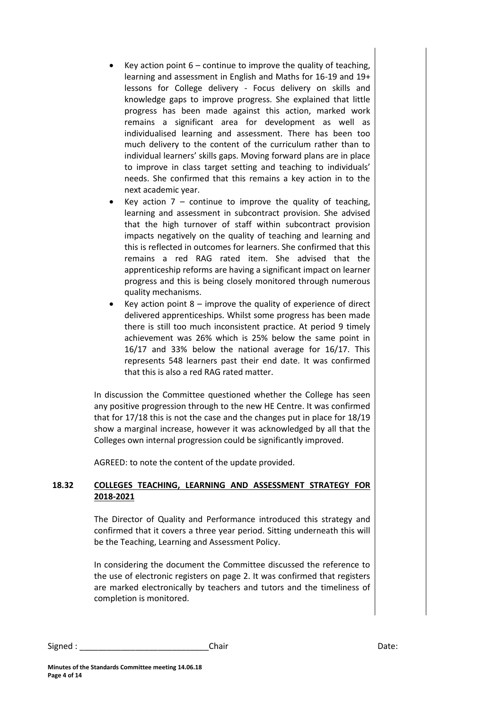- Key action point  $6$  continue to improve the quality of teaching, learning and assessment in English and Maths for 16-19 and 19+ lessons for College delivery - Focus delivery on skills and knowledge gaps to improve progress. She explained that little progress has been made against this action, marked work remains a significant area for development as well as individualised learning and assessment. There has been too much delivery to the content of the curriculum rather than to individual learners' skills gaps. Moving forward plans are in place to improve in class target setting and teaching to individuals' needs. She confirmed that this remains a key action in to the next academic year.
- Key action  $7$  continue to improve the quality of teaching, learning and assessment in subcontract provision. She advised that the high turnover of staff within subcontract provision impacts negatively on the quality of teaching and learning and this is reflected in outcomes for learners. She confirmed that this remains a red RAG rated item. She advised that the apprenticeship reforms are having a significant impact on learner progress and this is being closely monitored through numerous quality mechanisms.
- Key action point  $8$  improve the quality of experience of direct delivered apprenticeships. Whilst some progress has been made there is still too much inconsistent practice. At period 9 timely achievement was 26% which is 25% below the same point in 16/17 and 33% below the national average for 16/17. This represents 548 learners past their end date. It was confirmed that this is also a red RAG rated matter.

In discussion the Committee questioned whether the College has seen any positive progression through to the new HE Centre. It was confirmed that for 17/18 this is not the case and the changes put in place for 18/19 show a marginal increase, however it was acknowledged by all that the Colleges own internal progression could be significantly improved.

AGREED: to note the content of the update provided.

# **18.32 COLLEGES TEACHING, LEARNING AND ASSESSMENT STRATEGY FOR 2018-2021**

The Director of Quality and Performance introduced this strategy and confirmed that it covers a three year period. Sitting underneath this will be the Teaching, Learning and Assessment Policy.

In considering the document the Committee discussed the reference to the use of electronic registers on page 2. It was confirmed that registers are marked electronically by teachers and tutors and the timeliness of completion is monitored.

Signed : \_\_\_\_\_\_\_\_\_\_\_\_\_\_\_\_\_\_\_\_\_\_\_\_\_\_\_\_Chair Date: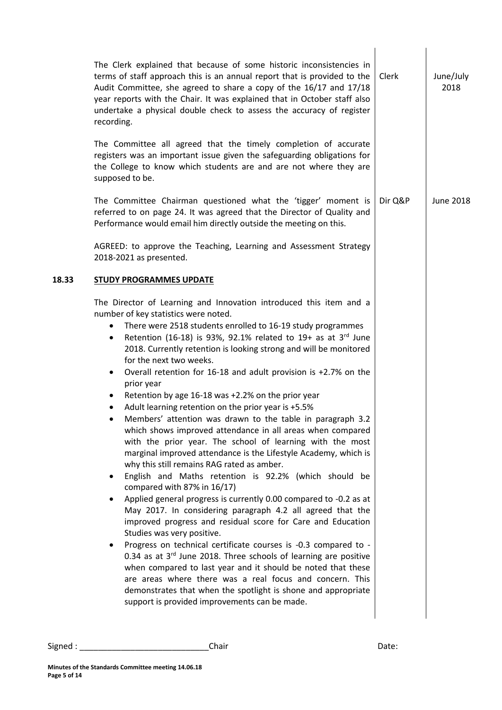|       | The Clerk explained that because of some historic inconsistencies in<br>terms of staff approach this is an annual report that is provided to the<br>Audit Committee, she agreed to share a copy of the 16/17 and 17/18<br>year reports with the Chair. It was explained that in October staff also<br>undertake a physical double check to assess the accuracy of register<br>recording.                                                                                                                                                                                                                                                                                                                                                                                                                                                                                                                                                                                                                                                                                                                                                                                                                                                                                                                                                                                                                                                                                                                                                                                                                                   | Clerk   | June/July<br>2018 |
|-------|----------------------------------------------------------------------------------------------------------------------------------------------------------------------------------------------------------------------------------------------------------------------------------------------------------------------------------------------------------------------------------------------------------------------------------------------------------------------------------------------------------------------------------------------------------------------------------------------------------------------------------------------------------------------------------------------------------------------------------------------------------------------------------------------------------------------------------------------------------------------------------------------------------------------------------------------------------------------------------------------------------------------------------------------------------------------------------------------------------------------------------------------------------------------------------------------------------------------------------------------------------------------------------------------------------------------------------------------------------------------------------------------------------------------------------------------------------------------------------------------------------------------------------------------------------------------------------------------------------------------------|---------|-------------------|
|       | The Committee all agreed that the timely completion of accurate<br>registers was an important issue given the safeguarding obligations for<br>the College to know which students are and are not where they are<br>supposed to be.                                                                                                                                                                                                                                                                                                                                                                                                                                                                                                                                                                                                                                                                                                                                                                                                                                                                                                                                                                                                                                                                                                                                                                                                                                                                                                                                                                                         |         |                   |
|       | The Committee Chairman questioned what the 'tigger' moment is<br>referred to on page 24. It was agreed that the Director of Quality and<br>Performance would email him directly outside the meeting on this.                                                                                                                                                                                                                                                                                                                                                                                                                                                                                                                                                                                                                                                                                                                                                                                                                                                                                                                                                                                                                                                                                                                                                                                                                                                                                                                                                                                                               | Dir Q&P | June 2018         |
|       | AGREED: to approve the Teaching, Learning and Assessment Strategy<br>2018-2021 as presented.                                                                                                                                                                                                                                                                                                                                                                                                                                                                                                                                                                                                                                                                                                                                                                                                                                                                                                                                                                                                                                                                                                                                                                                                                                                                                                                                                                                                                                                                                                                               |         |                   |
| 18.33 | <b>STUDY PROGRAMMES UPDATE</b>                                                                                                                                                                                                                                                                                                                                                                                                                                                                                                                                                                                                                                                                                                                                                                                                                                                                                                                                                                                                                                                                                                                                                                                                                                                                                                                                                                                                                                                                                                                                                                                             |         |                   |
|       | The Director of Learning and Innovation introduced this item and a<br>number of key statistics were noted.<br>There were 2518 students enrolled to 16-19 study programmes<br>$\bullet$<br>Retention (16-18) is 93%, 92.1% related to 19+ as at $3^{rd}$ June<br>$\bullet$<br>2018. Currently retention is looking strong and will be monitored<br>for the next two weeks.<br>Overall retention for 16-18 and adult provision is +2.7% on the<br>٠<br>prior year<br>Retention by age 16-18 was +2.2% on the prior year<br>$\bullet$<br>Adult learning retention on the prior year is +5.5%<br>٠<br>Members' attention was drawn to the table in paragraph 3.2<br>which shows improved attendance in all areas when compared<br>with the prior year. The school of learning with the most<br>marginal improved attendance is the Lifestyle Academy, which is<br>why this still remains RAG rated as amber.<br>English and Maths retention is 92.2% (which should be<br>٠<br>compared with 87% in 16/17)<br>Applied general progress is currently 0.00 compared to -0.2 as at<br>May 2017. In considering paragraph 4.2 all agreed that the<br>improved progress and residual score for Care and Education<br>Studies was very positive.<br>Progress on technical certificate courses is -0.3 compared to -<br>0.34 as at 3rd June 2018. Three schools of learning are positive<br>when compared to last year and it should be noted that these<br>are areas where there was a real focus and concern. This<br>demonstrates that when the spotlight is shone and appropriate<br>support is provided improvements can be made. |         |                   |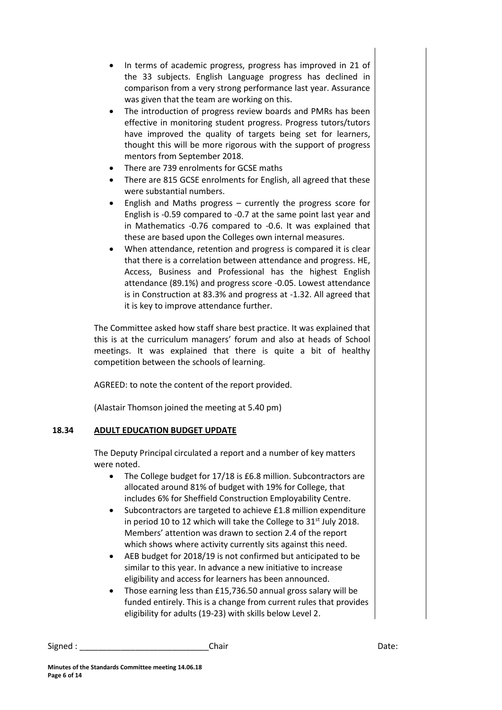- In terms of academic progress, progress has improved in 21 of the 33 subjects. English Language progress has declined in comparison from a very strong performance last year. Assurance was given that the team are working on this.
- The introduction of progress review boards and PMRs has been effective in monitoring student progress. Progress tutors/tutors have improved the quality of targets being set for learners, thought this will be more rigorous with the support of progress mentors from September 2018.
- There are 739 enrolments for GCSE maths
- There are 815 GCSE enrolments for English, all agreed that these were substantial numbers.
- English and Maths progress currently the progress score for English is -0.59 compared to -0.7 at the same point last year and in Mathematics -0.76 compared to -0.6. It was explained that these are based upon the Colleges own internal measures.
- When attendance, retention and progress is compared it is clear that there is a correlation between attendance and progress. HE, Access, Business and Professional has the highest English attendance (89.1%) and progress score -0.05. Lowest attendance is in Construction at 83.3% and progress at -1.32. All agreed that it is key to improve attendance further.

The Committee asked how staff share best practice. It was explained that this is at the curriculum managers' forum and also at heads of School meetings. It was explained that there is quite a bit of healthy competition between the schools of learning.

AGREED: to note the content of the report provided.

(Alastair Thomson joined the meeting at 5.40 pm)

# **18.34 ADULT EDUCATION BUDGET UPDATE**

The Deputy Principal circulated a report and a number of key matters were noted.

- The College budget for 17/18 is £6.8 million. Subcontractors are allocated around 81% of budget with 19% for College, that includes 6% for Sheffield Construction Employability Centre.
- Subcontractors are targeted to achieve £1.8 million expenditure in period 10 to 12 which will take the College to  $31<sup>st</sup>$  July 2018. Members' attention was drawn to section 2.4 of the report which shows where activity currently sits against this need.
- AEB budget for 2018/19 is not confirmed but anticipated to be similar to this year. In advance a new initiative to increase eligibility and access for learners has been announced.
- Those earning less than £15,736.50 annual gross salary will be funded entirely. This is a change from current rules that provides eligibility for adults (19-23) with skills below Level 2.

```
Signed : ____________________________Chair Date:
```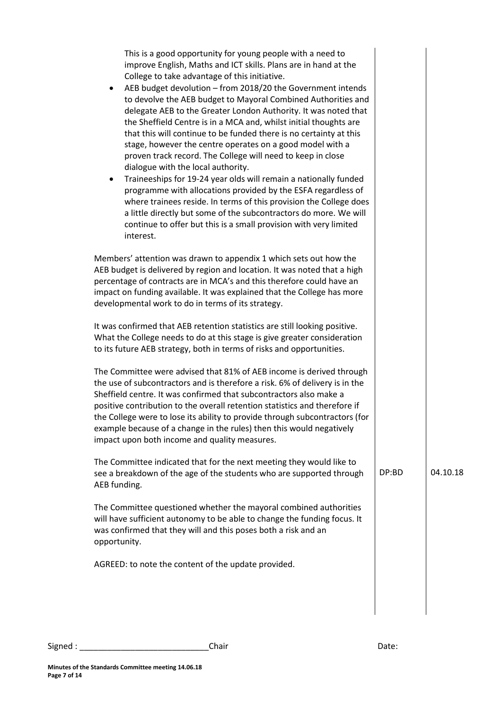| $\bullet$<br>$\bullet$ | This is a good opportunity for young people with a need to<br>improve English, Maths and ICT skills. Plans are in hand at the<br>College to take advantage of this initiative.<br>AEB budget devolution - from 2018/20 the Government intends<br>to devolve the AEB budget to Mayoral Combined Authorities and<br>delegate AEB to the Greater London Authority. It was noted that<br>the Sheffield Centre is in a MCA and, whilst initial thoughts are<br>that this will continue to be funded there is no certainty at this<br>stage, however the centre operates on a good model with a<br>proven track record. The College will need to keep in close<br>dialogue with the local authority.<br>Traineeships for 19-24 year olds will remain a nationally funded<br>programme with allocations provided by the ESFA regardless of<br>where trainees reside. In terms of this provision the College does<br>a little directly but some of the subcontractors do more. We will<br>continue to offer but this is a small provision with very limited<br>interest. |       |          |
|------------------------|------------------------------------------------------------------------------------------------------------------------------------------------------------------------------------------------------------------------------------------------------------------------------------------------------------------------------------------------------------------------------------------------------------------------------------------------------------------------------------------------------------------------------------------------------------------------------------------------------------------------------------------------------------------------------------------------------------------------------------------------------------------------------------------------------------------------------------------------------------------------------------------------------------------------------------------------------------------------------------------------------------------------------------------------------------------|-------|----------|
|                        | Members' attention was drawn to appendix 1 which sets out how the<br>AEB budget is delivered by region and location. It was noted that a high<br>percentage of contracts are in MCA's and this therefore could have an<br>impact on funding available. It was explained that the College has more<br>developmental work to do in terms of its strategy.                                                                                                                                                                                                                                                                                                                                                                                                                                                                                                                                                                                                                                                                                                          |       |          |
|                        | It was confirmed that AEB retention statistics are still looking positive.<br>What the College needs to do at this stage is give greater consideration<br>to its future AEB strategy, both in terms of risks and opportunities.                                                                                                                                                                                                                                                                                                                                                                                                                                                                                                                                                                                                                                                                                                                                                                                                                                  |       |          |
|                        | The Committee were advised that 81% of AEB income is derived through<br>the use of subcontractors and is therefore a risk. 6% of delivery is in the<br>Sheffield centre. It was confirmed that subcontractors also make a<br>positive contribution to the overall retention statistics and therefore if<br>the College were to lose its ability to provide through subcontractors (for<br>example because of a change in the rules) then this would negatively<br>impact upon both income and quality measures.                                                                                                                                                                                                                                                                                                                                                                                                                                                                                                                                                  |       |          |
| AEB funding.           | The Committee indicated that for the next meeting they would like to<br>see a breakdown of the age of the students who are supported through                                                                                                                                                                                                                                                                                                                                                                                                                                                                                                                                                                                                                                                                                                                                                                                                                                                                                                                     | DP:BD | 04.10.18 |
| opportunity.           | The Committee questioned whether the mayoral combined authorities<br>will have sufficient autonomy to be able to change the funding focus. It<br>was confirmed that they will and this poses both a risk and an                                                                                                                                                                                                                                                                                                                                                                                                                                                                                                                                                                                                                                                                                                                                                                                                                                                  |       |          |
|                        | AGREED: to note the content of the update provided.                                                                                                                                                                                                                                                                                                                                                                                                                                                                                                                                                                                                                                                                                                                                                                                                                                                                                                                                                                                                              |       |          |
|                        |                                                                                                                                                                                                                                                                                                                                                                                                                                                                                                                                                                                                                                                                                                                                                                                                                                                                                                                                                                                                                                                                  |       |          |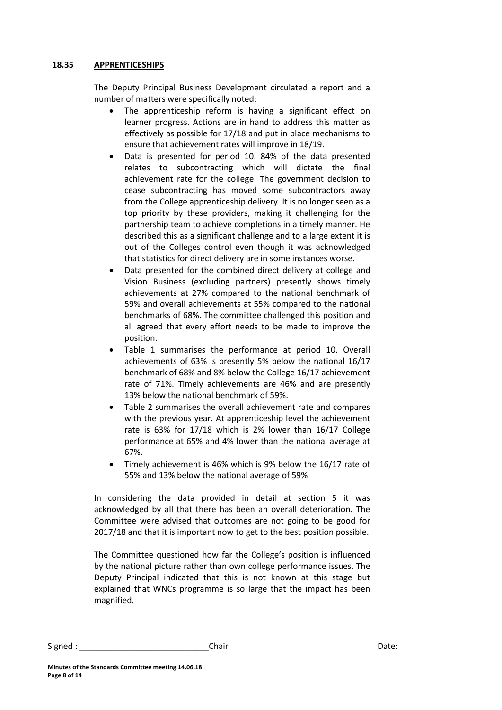### **18.35 APPRENTICESHIPS**

The Deputy Principal Business Development circulated a report and a number of matters were specifically noted:

- The apprenticeship reform is having a significant effect on learner progress. Actions are in hand to address this matter as effectively as possible for 17/18 and put in place mechanisms to ensure that achievement rates will improve in 18/19.
- Data is presented for period 10. 84% of the data presented relates to subcontracting which will dictate the final achievement rate for the college. The government decision to cease subcontracting has moved some subcontractors away from the College apprenticeship delivery. It is no longer seen as a top priority by these providers, making it challenging for the partnership team to achieve completions in a timely manner. He described this as a significant challenge and to a large extent it is out of the Colleges control even though it was acknowledged that statistics for direct delivery are in some instances worse.
- Data presented for the combined direct delivery at college and Vision Business (excluding partners) presently shows timely achievements at 27% compared to the national benchmark of 59% and overall achievements at 55% compared to the national benchmarks of 68%. The committee challenged this position and all agreed that every effort needs to be made to improve the position.
- Table 1 summarises the performance at period 10. Overall achievements of 63% is presently 5% below the national 16/17 benchmark of 68% and 8% below the College 16/17 achievement rate of 71%. Timely achievements are 46% and are presently 13% below the national benchmark of 59%.
- Table 2 summarises the overall achievement rate and compares with the previous year. At apprenticeship level the achievement rate is 63% for 17/18 which is 2% lower than 16/17 College performance at 65% and 4% lower than the national average at 67%.
- Timely achievement is 46% which is 9% below the 16/17 rate of 55% and 13% below the national average of 59%

In considering the data provided in detail at section 5 it was acknowledged by all that there has been an overall deterioration. The Committee were advised that outcomes are not going to be good for 2017/18 and that it is important now to get to the best position possible.

The Committee questioned how far the College's position is influenced by the national picture rather than own college performance issues. The Deputy Principal indicated that this is not known at this stage but explained that WNCs programme is so large that the impact has been magnified.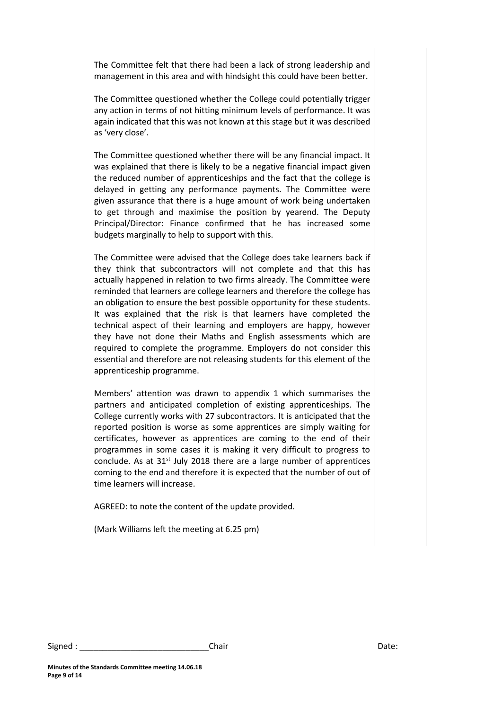The Committee felt that there had been a lack of strong leadership and management in this area and with hindsight this could have been better.

The Committee questioned whether the College could potentially trigger any action in terms of not hitting minimum levels of performance. It was again indicated that this was not known at this stage but it was described as 'very close'.

The Committee questioned whether there will be any financial impact. It was explained that there is likely to be a negative financial impact given the reduced number of apprenticeships and the fact that the college is delayed in getting any performance payments. The Committee were given assurance that there is a huge amount of work being undertaken to get through and maximise the position by yearend. The Deputy Principal/Director: Finance confirmed that he has increased some budgets marginally to help to support with this.

The Committee were advised that the College does take learners back if they think that subcontractors will not complete and that this has actually happened in relation to two firms already. The Committee were reminded that learners are college learners and therefore the college has an obligation to ensure the best possible opportunity for these students. It was explained that the risk is that learners have completed the technical aspect of their learning and employers are happy, however they have not done their Maths and English assessments which are required to complete the programme. Employers do not consider this essential and therefore are not releasing students for this element of the apprenticeship programme.

Members' attention was drawn to appendix 1 which summarises the partners and anticipated completion of existing apprenticeships. The College currently works with 27 subcontractors. It is anticipated that the reported position is worse as some apprentices are simply waiting for certificates, however as apprentices are coming to the end of their programmes in some cases it is making it very difficult to progress to conclude. As at  $31^{st}$  July 2018 there are a large number of apprentices coming to the end and therefore it is expected that the number of out of time learners will increase.

AGREED: to note the content of the update provided.

(Mark Williams left the meeting at 6.25 pm)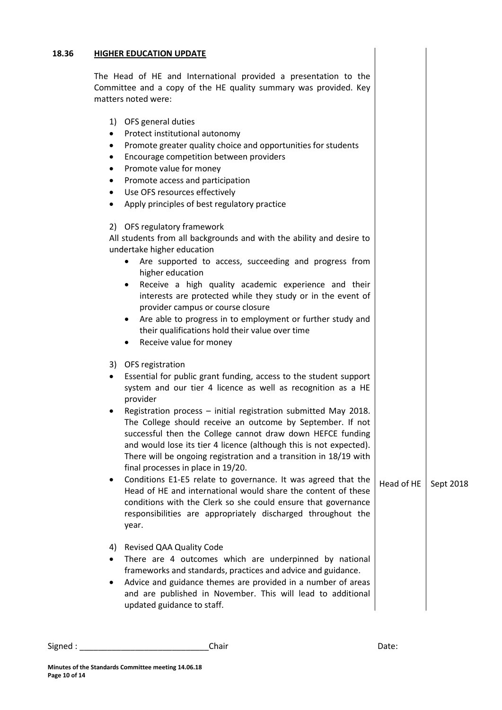### **18.36 HIGHER EDUCATION UPDATE**

The Head of HE and International provided a presentation to the Committee and a copy of the HE quality summary was provided. Key matters noted were:

- 1) OFS general duties
- Protect institutional autonomy
- Promote greater quality choice and opportunities for students
- **•** Encourage competition between providers
- Promote value for money
- Promote access and participation
- Use OFS resources effectively
- Apply principles of best regulatory practice

#### 2) OFS regulatory framework

All students from all backgrounds and with the ability and desire to undertake higher education

- Are supported to access, succeeding and progress from higher education
- Receive a high quality academic experience and their interests are protected while they study or in the event of provider campus or course closure
- Are able to progress in to employment or further study and their qualifications hold their value over time
- Receive value for money

# 3) OFS registration

- Essential for public grant funding, access to the student support system and our tier 4 licence as well as recognition as a HE provider
- Registration process initial registration submitted May 2018. The College should receive an outcome by September. If not successful then the College cannot draw down HEFCE funding and would lose its tier 4 licence (although this is not expected). There will be ongoing registration and a transition in 18/19 with final processes in place in 19/20.
- Conditions E1-E5 relate to governance. It was agreed that the Head of HE and international would share the content of these conditions with the Clerk so she could ensure that governance responsibilities are appropriately discharged throughout the year. Head of HE  $\vert$  Sept 2018
- 4) Revised QAA Quality Code
- There are 4 outcomes which are underpinned by national frameworks and standards, practices and advice and guidance.
- Advice and guidance themes are provided in a number of areas and are published in November. This will lead to additional updated guidance to staff.

Signed : \_\_\_\_\_\_\_\_\_\_\_\_\_\_\_\_\_\_\_\_\_\_\_\_\_\_\_\_Chair Date: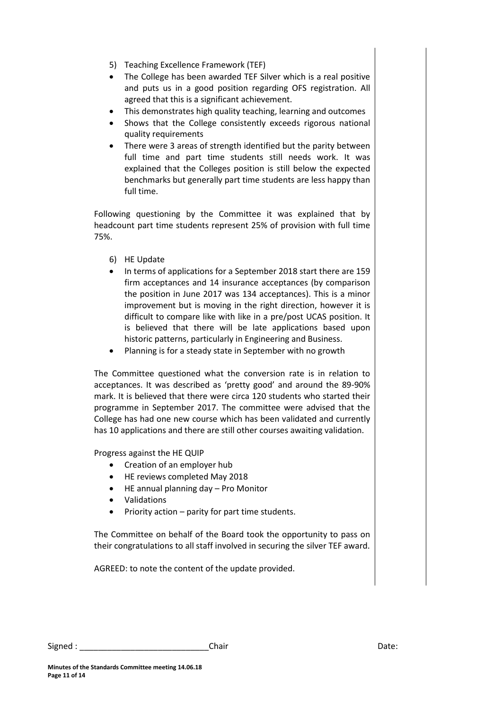- 5) Teaching Excellence Framework (TEF)
- The College has been awarded TEF Silver which is a real positive and puts us in a good position regarding OFS registration. All agreed that this is a significant achievement.
- This demonstrates high quality teaching, learning and outcomes
- Shows that the College consistently exceeds rigorous national quality requirements
- There were 3 areas of strength identified but the parity between full time and part time students still needs work. It was explained that the Colleges position is still below the expected benchmarks but generally part time students are less happy than full time.

Following questioning by the Committee it was explained that by headcount part time students represent 25% of provision with full time 75%.

- 6) HE Update
- In terms of applications for a September 2018 start there are 159 firm acceptances and 14 insurance acceptances (by comparison the position in June 2017 was 134 acceptances). This is a minor improvement but is moving in the right direction, however it is difficult to compare like with like in a pre/post UCAS position. It is believed that there will be late applications based upon historic patterns, particularly in Engineering and Business.
- Planning is for a steady state in September with no growth

The Committee questioned what the conversion rate is in relation to acceptances. It was described as 'pretty good' and around the 89-90% mark. It is believed that there were circa 120 students who started their programme in September 2017. The committee were advised that the College has had one new course which has been validated and currently has 10 applications and there are still other courses awaiting validation.

Progress against the HE QUIP

- Creation of an employer hub
- HE reviews completed May 2018
- HE annual planning day Pro Monitor
- Validations
- Priority action parity for part time students.

The Committee on behalf of the Board took the opportunity to pass on their congratulations to all staff involved in securing the silver TEF award.

AGREED: to note the content of the update provided.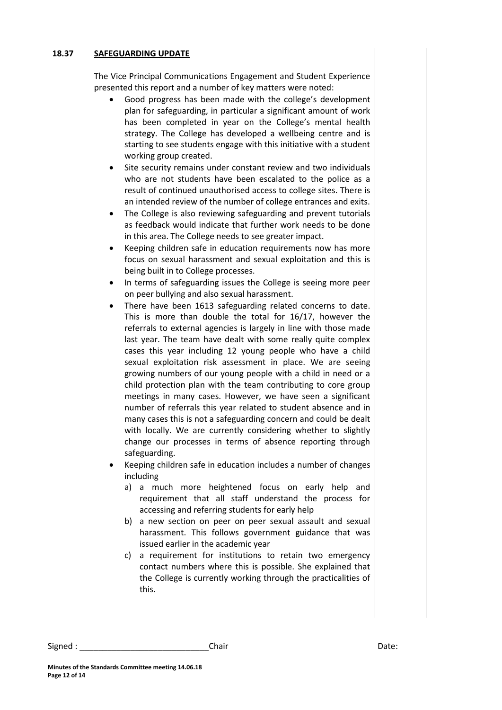# **18.37 SAFEGUARDING UPDATE**

The Vice Principal Communications Engagement and Student Experience presented this report and a number of key matters were noted:

- Good progress has been made with the college's development plan for safeguarding, in particular a significant amount of work has been completed in year on the College's mental health strategy. The College has developed a wellbeing centre and is starting to see students engage with this initiative with a student working group created.
- Site security remains under constant review and two individuals who are not students have been escalated to the police as a result of continued unauthorised access to college sites. There is an intended review of the number of college entrances and exits.
- The College is also reviewing safeguarding and prevent tutorials as feedback would indicate that further work needs to be done in this area. The College needs to see greater impact.
- Keeping children safe in education requirements now has more focus on sexual harassment and sexual exploitation and this is being built in to College processes.
- In terms of safeguarding issues the College is seeing more peer on peer bullying and also sexual harassment.
- There have been 1613 safeguarding related concerns to date. This is more than double the total for 16/17, however the referrals to external agencies is largely in line with those made last year. The team have dealt with some really quite complex cases this year including 12 young people who have a child sexual exploitation risk assessment in place. We are seeing growing numbers of our young people with a child in need or a child protection plan with the team contributing to core group meetings in many cases. However, we have seen a significant number of referrals this year related to student absence and in many cases this is not a safeguarding concern and could be dealt with locally. We are currently considering whether to slightly change our processes in terms of absence reporting through safeguarding.
- Keeping children safe in education includes a number of changes including
	- a) a much more heightened focus on early help and requirement that all staff understand the process for accessing and referring students for early help
	- b) a new section on peer on peer sexual assault and sexual harassment. This follows government guidance that was issued earlier in the academic year
	- c) a requirement for institutions to retain two emergency contact numbers where this is possible. She explained that the College is currently working through the practicalities of this.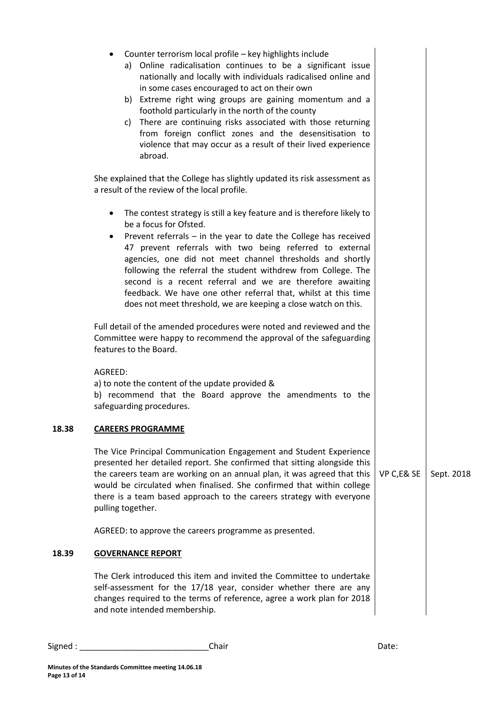|       | Counter terrorism local profile - key highlights include<br>$\bullet$<br>a) Online radicalisation continues to be a significant issue<br>nationally and locally with individuals radicalised online and<br>in some cases encouraged to act on their own<br>b) Extreme right wing groups are gaining momentum and a<br>foothold particularly in the north of the county<br>c) There are continuing risks associated with those returning<br>from foreign conflict zones and the desensitisation to<br>violence that may occur as a result of their lived experience<br>abroad.                                                                                      |            |            |
|-------|--------------------------------------------------------------------------------------------------------------------------------------------------------------------------------------------------------------------------------------------------------------------------------------------------------------------------------------------------------------------------------------------------------------------------------------------------------------------------------------------------------------------------------------------------------------------------------------------------------------------------------------------------------------------|------------|------------|
|       | She explained that the College has slightly updated its risk assessment as<br>a result of the review of the local profile.                                                                                                                                                                                                                                                                                                                                                                                                                                                                                                                                         |            |            |
|       | The contest strategy is still a key feature and is therefore likely to<br>$\bullet$<br>be a focus for Ofsted.<br>Prevent referrals - in the year to date the College has received<br>$\bullet$<br>47 prevent referrals with two being referred to external<br>agencies, one did not meet channel thresholds and shortly<br>following the referral the student withdrew from College. The<br>second is a recent referral and we are therefore awaiting<br>feedback. We have one other referral that, whilst at this time<br>does not meet threshold, we are keeping a close watch on this.<br>Full detail of the amended procedures were noted and reviewed and the |            |            |
|       | Committee were happy to recommend the approval of the safeguarding<br>features to the Board.                                                                                                                                                                                                                                                                                                                                                                                                                                                                                                                                                                       |            |            |
|       | AGREED:<br>a) to note the content of the update provided &<br>b) recommend that the Board approve the amendments to the<br>safeguarding procedures.                                                                                                                                                                                                                                                                                                                                                                                                                                                                                                                |            |            |
| 18.38 | <b>CAREERS PROGRAMME</b>                                                                                                                                                                                                                                                                                                                                                                                                                                                                                                                                                                                                                                           |            |            |
|       | The Vice Principal Communication Engagement and Student Experience<br>presented her detailed report. She confirmed that sitting alongside this<br>the careers team are working on an annual plan, it was agreed that this<br>would be circulated when finalised. She confirmed that within college<br>there is a team based approach to the careers strategy with everyone<br>pulling together.                                                                                                                                                                                                                                                                    | VP C,E& SE | Sept. 2018 |
|       | AGREED: to approve the careers programme as presented.                                                                                                                                                                                                                                                                                                                                                                                                                                                                                                                                                                                                             |            |            |
| 18.39 | <b>GOVERNANCE REPORT</b>                                                                                                                                                                                                                                                                                                                                                                                                                                                                                                                                                                                                                                           |            |            |
|       | The Clerk introduced this item and invited the Committee to undertake<br>self-assessment for the 17/18 year, consider whether there are any<br>changes required to the terms of reference, agree a work plan for 2018<br>and note intended membership.                                                                                                                                                                                                                                                                                                                                                                                                             |            |            |

Signed : \_\_\_\_\_\_\_\_\_\_\_\_\_\_\_\_\_\_\_\_\_\_\_\_\_\_\_\_Chair Date: